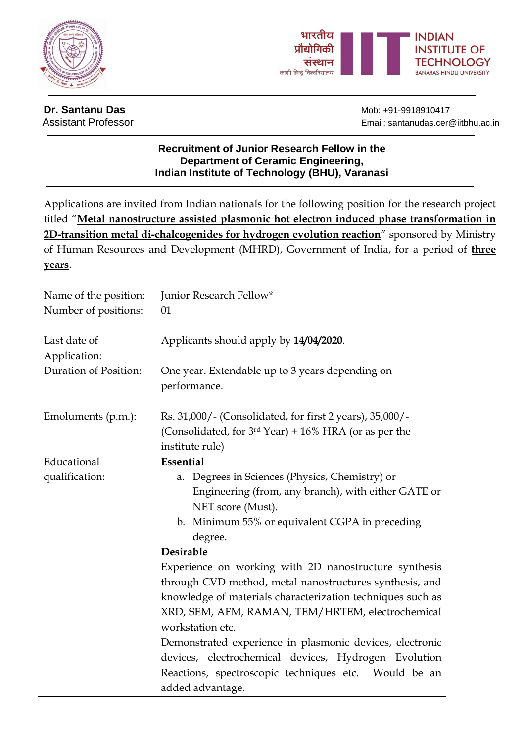



**Dr. Santanu Das** Mob: +91-9918910417

Assistant Professor **Email:** santanudas.cer@iitbhu.ac.in

## **Recruitment of Junior Research Fellow in the Department of Ceramic Engineering, Indian Institute of Technology (BHU), Varanasi**

Applications are invited from Indian nationals for the following position for the research project titled "**Metal nanostructure assisted plasmonic hot electron induced phase transformation in 2D-transition metal di-chalcogenides for hydrogen evolution reaction**" sponsored by Ministry of Human Resources and Development (MHRD), Government of India, for a period of **three years**.

| Name of the position:<br>Number of positions: | Junior Research Fellow*<br>01                                                                                                                                                              |  |  |  |  |
|-----------------------------------------------|--------------------------------------------------------------------------------------------------------------------------------------------------------------------------------------------|--|--|--|--|
| Last date of<br>Application:                  | Applicants should apply by 14/04/2020.                                                                                                                                                     |  |  |  |  |
| <b>Duration of Position:</b>                  | One year. Extendable up to 3 years depending on<br>performance.                                                                                                                            |  |  |  |  |
| Emoluments (p.m.):                            | Rs. 31,000/- (Consolidated, for first 2 years), 35,000/-<br>(Consolidated, for 3rd Year) + 16% HRA (or as per the<br>institute rule)                                                       |  |  |  |  |
| Educational                                   | Essential                                                                                                                                                                                  |  |  |  |  |
| qualification:                                | Degrees in Sciences (Physics, Chemistry) or<br>a.<br>Engineering (from, any branch), with either GATE or<br>NET score (Must).<br>b. Minimum 55% or equivalent CGPA in preceding<br>degree. |  |  |  |  |
|                                               | <b>Desirable</b>                                                                                                                                                                           |  |  |  |  |
|                                               | Experience on working with 2D nanostructure synthesis                                                                                                                                      |  |  |  |  |
|                                               | through CVD method, metal nanostructures synthesis, and                                                                                                                                    |  |  |  |  |
|                                               | knowledge of materials characterization techniques such as                                                                                                                                 |  |  |  |  |
|                                               | XRD, SEM, AFM, RAMAN, TEM/HRTEM, electrochemical                                                                                                                                           |  |  |  |  |
|                                               | workstation etc.                                                                                                                                                                           |  |  |  |  |
|                                               | Demonstrated experience in plasmonic devices, electronic                                                                                                                                   |  |  |  |  |
|                                               | devices, electrochemical devices, Hydrogen Evolution                                                                                                                                       |  |  |  |  |
|                                               | Reactions, spectroscopic techniques etc. Would be an                                                                                                                                       |  |  |  |  |
|                                               | added advantage.                                                                                                                                                                           |  |  |  |  |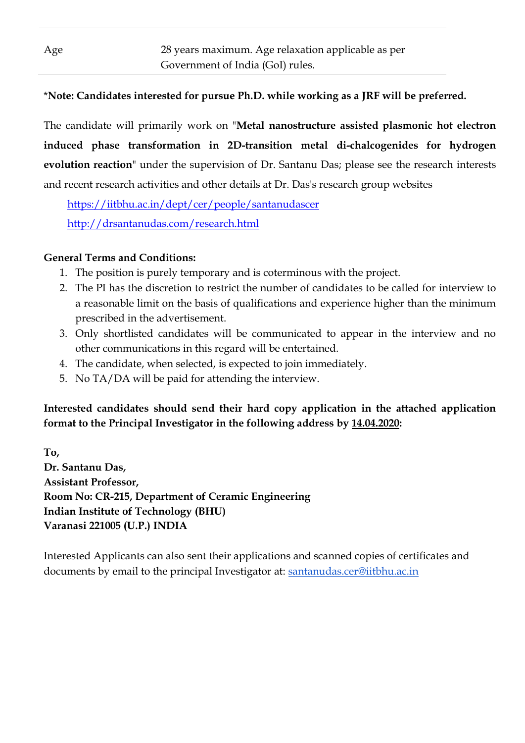# \***Note: Candidates interested for pursue Ph.D. while working as a JRF will be preferred.**

The candidate will primarily work on "**Metal nanostructure assisted plasmonic hot electron induced phase transformation in 2D-transition metal di-chalcogenides for hydrogen evolution reaction**" under the supervision of Dr. Santanu Das; please see the research interests and recent research activities and other details at Dr. Das's research group websites

 <https://iitbhu.ac.in/dept/cer/people/santanudascer> <http://drsantanudas.com/research.html>

### **General Terms and Conditions:**

- 1. The position is purely temporary and is coterminous with the project.
- 2. The PI has the discretion to restrict the number of candidates to be called for interview to a reasonable limit on the basis of qualifications and experience higher than the minimum prescribed in the advertisement.
- 3. Only shortlisted candidates will be communicated to appear in the interview and no other communications in this regard will be entertained.
- 4. The candidate, when selected, is expected to join immediately.
- 5. No TA/DA will be paid for attending the interview.

**Interested candidates should send their hard copy application in the attached application format to the Principal Investigator in the following address by 14.04.2020:**

**To, Dr. Santanu Das, Assistant Professor, Room No: CR-215, Department of Ceramic Engineering Indian Institute of Technology (BHU) Varanasi 221005 (U.P.) INDIA**

Interested Applicants can also sent their applications and scanned copies of certificates and documents by email to the principal Investigator at: [santanudas.cer@iitbhu.ac.in](mailto:santanudas.cer@iitbhu.ac.in)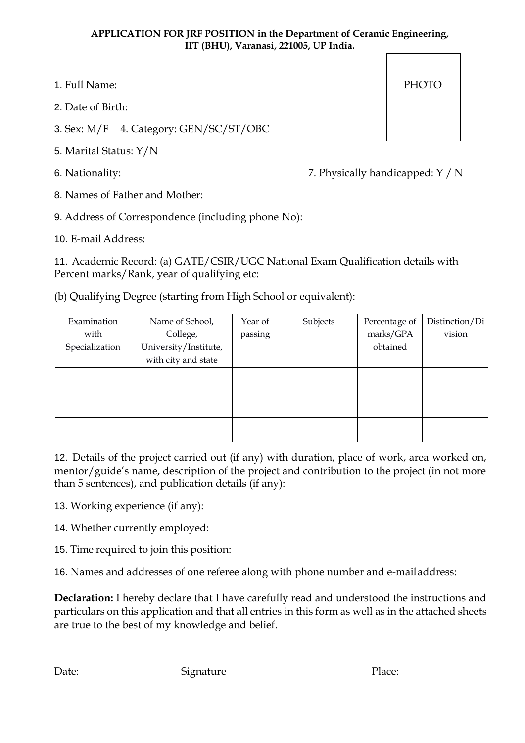#### **APPLICATION FOR JRF POSITION in the Department of Ceramic Engineering, IIT (BHU), Varanasi, 221005, UP India.**

- 1. Full Name: PHOTO
- 2. Date of Birth:
- 3. Sex: M/F 4. Category: GEN/SC/ST/OBC
- 5. Marital Status: Y/N
- 

6. Nationality: 7. Physically handicapped: Y / N

- 8. Names of Father and Mother:
- 9. Address of Correspondence (including phone No):
- 10. E-mail Address:

11. Academic Record: (a) GATE/CSIR/UGC National Exam Qualification details with Percent marks/Rank, year of qualifying etc:

(b) Qualifying Degree (starting from High School or equivalent):

| Examination<br>with<br>Specialization | Name of School,<br>College,<br>University/Institute,<br>with city and state | Year of<br>passing | Subjects | Percentage of<br>marks/GPA<br>obtained | Distinction/Di<br>vision |
|---------------------------------------|-----------------------------------------------------------------------------|--------------------|----------|----------------------------------------|--------------------------|
|                                       |                                                                             |                    |          |                                        |                          |
|                                       |                                                                             |                    |          |                                        |                          |
|                                       |                                                                             |                    |          |                                        |                          |

12. Details of the project carried out (if any) with duration, place of work, area worked on, mentor/guide's name, description of the project and contribution to the project (in not more than 5 sentences), and publication details (if any):

13. Working experience (if any):

- 14. Whether currently employed:
- 15. Time required to join this position:

16. Names and addresses of one referee along with phone number and e-mailaddress:

**Declaration:** I hereby declare that I have carefully read and understood the instructions and particulars on this application and that all entries in this form as well as in the attached sheets are true to the best of my knowledge and belief.